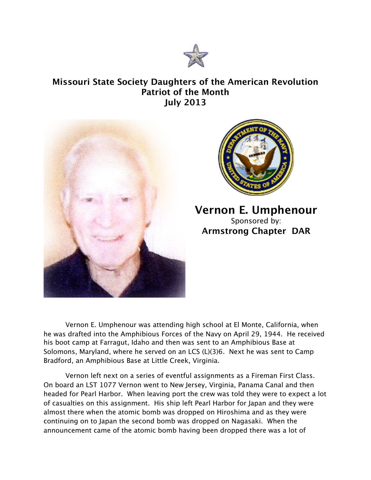

## **Missouri State Society Daughters of the American Revolution Patriot of the Month July 2013**





## **Vernon E. Umphenour** Sponsored by: **Armstrong Chapter DAR**

Vernon E. Umphenour was attending high school at El Monte, California, when he was drafted into the Amphibious Forces of the Navy on April 29, 1944. He received his boot camp at Farragut, Idaho and then was sent to an Amphibious Base at Solomons, Maryland, where he served on an LCS (L)(3)6. Next he was sent to Camp Bradford, an Amphibious Base at Little Creek, Virginia.

Vernon left next on a series of eventful assignments as a Fireman First Class. On board an LST 1077 Vernon went to New Jersey, Virginia, Panama Canal and then headed for Pearl Harbor. When leaving port the crew was told they were to expect a lot of casualties on this assignment. His ship left Pearl Harbor for Japan and they were almost there when the atomic bomb was dropped on Hiroshima and as they were continuing on to Japan the second bomb was dropped on Nagasaki. When the announcement came of the atomic bomb having been dropped there was a lot of